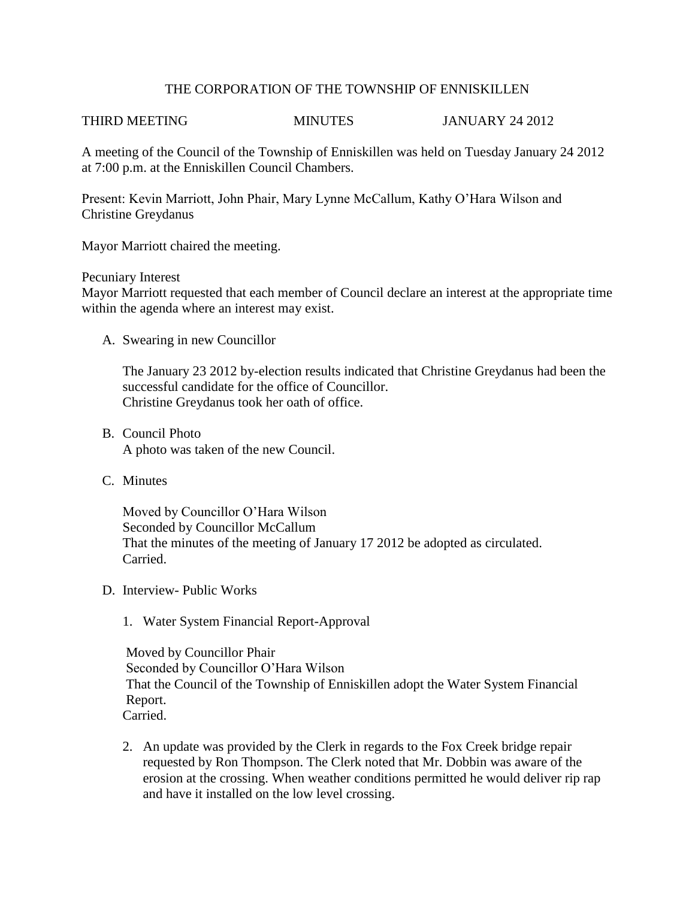# THE CORPORATION OF THE TOWNSHIP OF ENNISKILLEN

### THIRD MEETING MINUTES JANUARY 24 2012

A meeting of the Council of the Township of Enniskillen was held on Tuesday January 24 2012 at 7:00 p.m. at the Enniskillen Council Chambers.

Present: Kevin Marriott, John Phair, Mary Lynne McCallum, Kathy O'Hara Wilson and Christine Greydanus

Mayor Marriott chaired the meeting.

# Pecuniary Interest

Mayor Marriott requested that each member of Council declare an interest at the appropriate time within the agenda where an interest may exist.

A. Swearing in new Councillor

The January 23 2012 by-election results indicated that Christine Greydanus had been the successful candidate for the office of Councillor. Christine Greydanus took her oath of office.

- B. Council Photo A photo was taken of the new Council.
- C. Minutes

Moved by Councillor O'Hara Wilson Seconded by Councillor McCallum That the minutes of the meeting of January 17 2012 be adopted as circulated. Carried.

- D. Interview- Public Works
	- 1. Water System Financial Report-Approval

 Moved by Councillor Phair Seconded by Councillor O'Hara Wilson That the Council of the Township of Enniskillen adopt the Water System Financial Report. Carried.

2. An update was provided by the Clerk in regards to the Fox Creek bridge repair requested by Ron Thompson. The Clerk noted that Mr. Dobbin was aware of the erosion at the crossing. When weather conditions permitted he would deliver rip rap and have it installed on the low level crossing.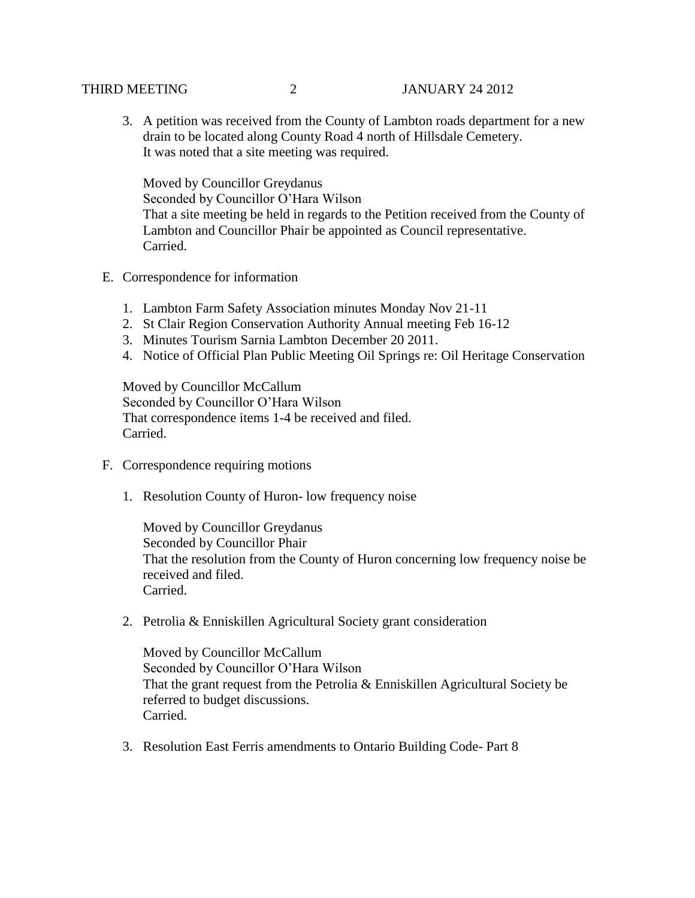3. A petition was received from the County of Lambton roads department for a new drain to be located along County Road 4 north of Hillsdale Cemetery. It was noted that a site meeting was required.

Moved by Councillor Greydanus Seconded by Councillor O'Hara Wilson That a site meeting be held in regards to the Petition received from the County of Lambton and Councillor Phair be appointed as Council representative. Carried.

- E. Correspondence for information
	- 1. Lambton Farm Safety Association minutes Monday Nov 21-11
	- 2. St Clair Region Conservation Authority Annual meeting Feb 16-12
	- 3. Minutes Tourism Sarnia Lambton December 20 2011.
	- 4. Notice of Official Plan Public Meeting Oil Springs re: Oil Heritage Conservation

Moved by Councillor McCallum Seconded by Councillor O'Hara Wilson That correspondence items 1-4 be received and filed. Carried.

- F. Correspondence requiring motions
	- 1. Resolution County of Huron- low frequency noise

Moved by Councillor Greydanus Seconded by Councillor Phair That the resolution from the County of Huron concerning low frequency noise be received and filed. Carried.

2. Petrolia & Enniskillen Agricultural Society grant consideration

Moved by Councillor McCallum Seconded by Councillor O'Hara Wilson That the grant request from the Petrolia & Enniskillen Agricultural Society be referred to budget discussions. Carried.

3. Resolution East Ferris amendments to Ontario Building Code- Part 8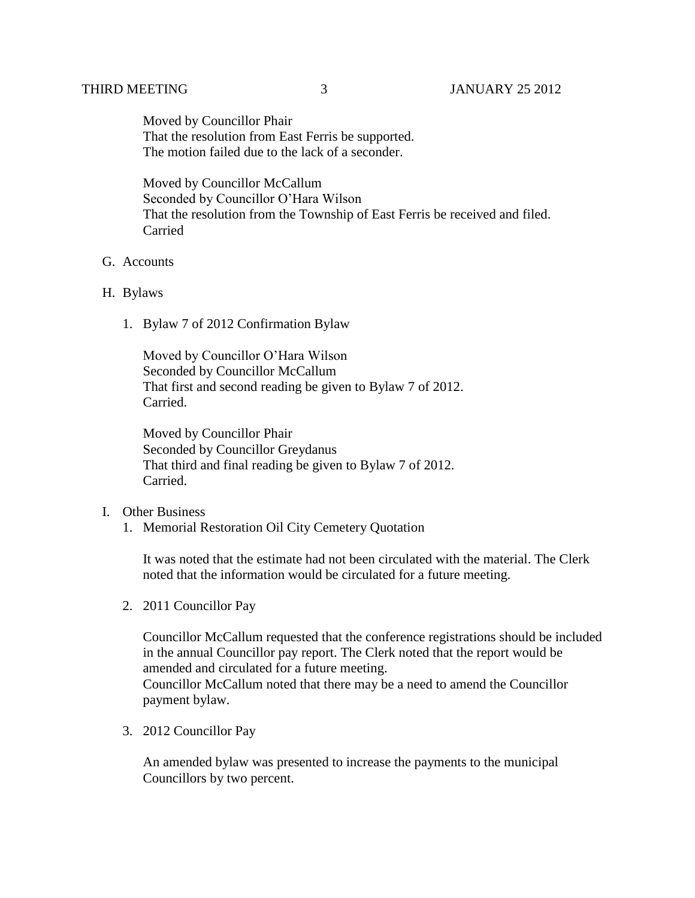Moved by Councillor Phair That the resolution from East Ferris be supported. The motion failed due to the lack of a seconder.

Moved by Councillor McCallum Seconded by Councillor O'Hara Wilson That the resolution from the Township of East Ferris be received and filed. Carried

# G. Accounts

### H. Bylaws

1. Bylaw 7 of 2012 Confirmation Bylaw

Moved by Councillor O'Hara Wilson Seconded by Councillor McCallum That first and second reading be given to Bylaw 7 of 2012. Carried.

Moved by Councillor Phair Seconded by Councillor Greydanus That third and final reading be given to Bylaw 7 of 2012. Carried.

### I. Other Business

1. Memorial Restoration Oil City Cemetery Quotation

It was noted that the estimate had not been circulated with the material. The Clerk noted that the information would be circulated for a future meeting.

2. 2011 Councillor Pay

Councillor McCallum requested that the conference registrations should be included in the annual Councillor pay report. The Clerk noted that the report would be amended and circulated for a future meeting. Councillor McCallum noted that there may be a need to amend the Councillor payment bylaw.

3. 2012 Councillor Pay

An amended bylaw was presented to increase the payments to the municipal Councillors by two percent.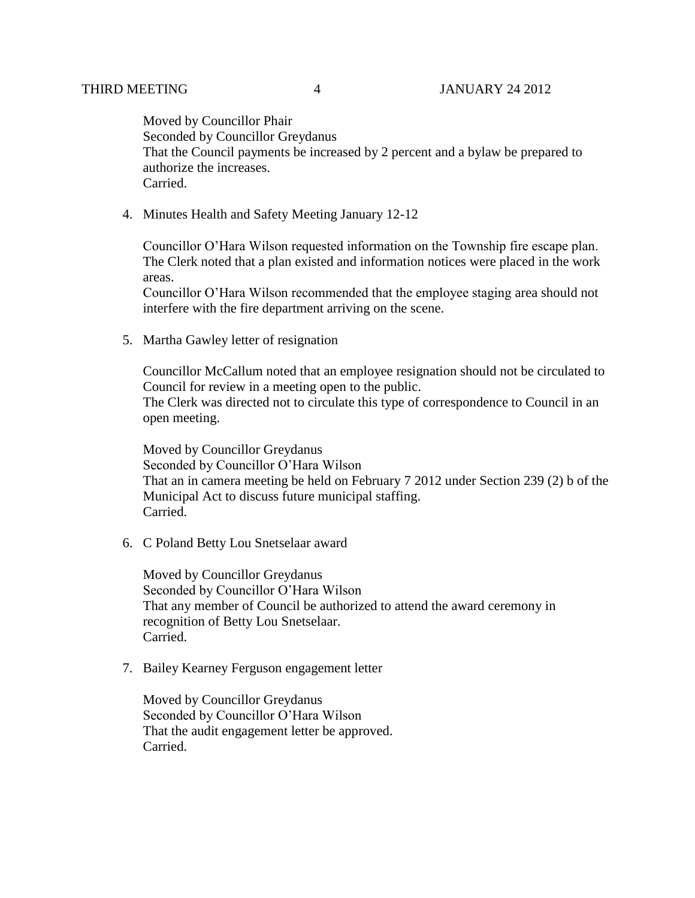Moved by Councillor Phair Seconded by Councillor Greydanus That the Council payments be increased by 2 percent and a bylaw be prepared to authorize the increases. Carried.

4. Minutes Health and Safety Meeting January 12-12

Councillor O'Hara Wilson requested information on the Township fire escape plan. The Clerk noted that a plan existed and information notices were placed in the work areas.

Councillor O'Hara Wilson recommended that the employee staging area should not interfere with the fire department arriving on the scene.

5. Martha Gawley letter of resignation

Councillor McCallum noted that an employee resignation should not be circulated to Council for review in a meeting open to the public. The Clerk was directed not to circulate this type of correspondence to Council in an

open meeting.

Moved by Councillor Greydanus Seconded by Councillor O'Hara Wilson That an in camera meeting be held on February 7 2012 under Section 239 (2) b of the Municipal Act to discuss future municipal staffing. Carried.

6. C Poland Betty Lou Snetselaar award

Moved by Councillor Greydanus Seconded by Councillor O'Hara Wilson That any member of Council be authorized to attend the award ceremony in recognition of Betty Lou Snetselaar. Carried.

7. Bailey Kearney Ferguson engagement letter

Moved by Councillor Greydanus Seconded by Councillor O'Hara Wilson That the audit engagement letter be approved. Carried.